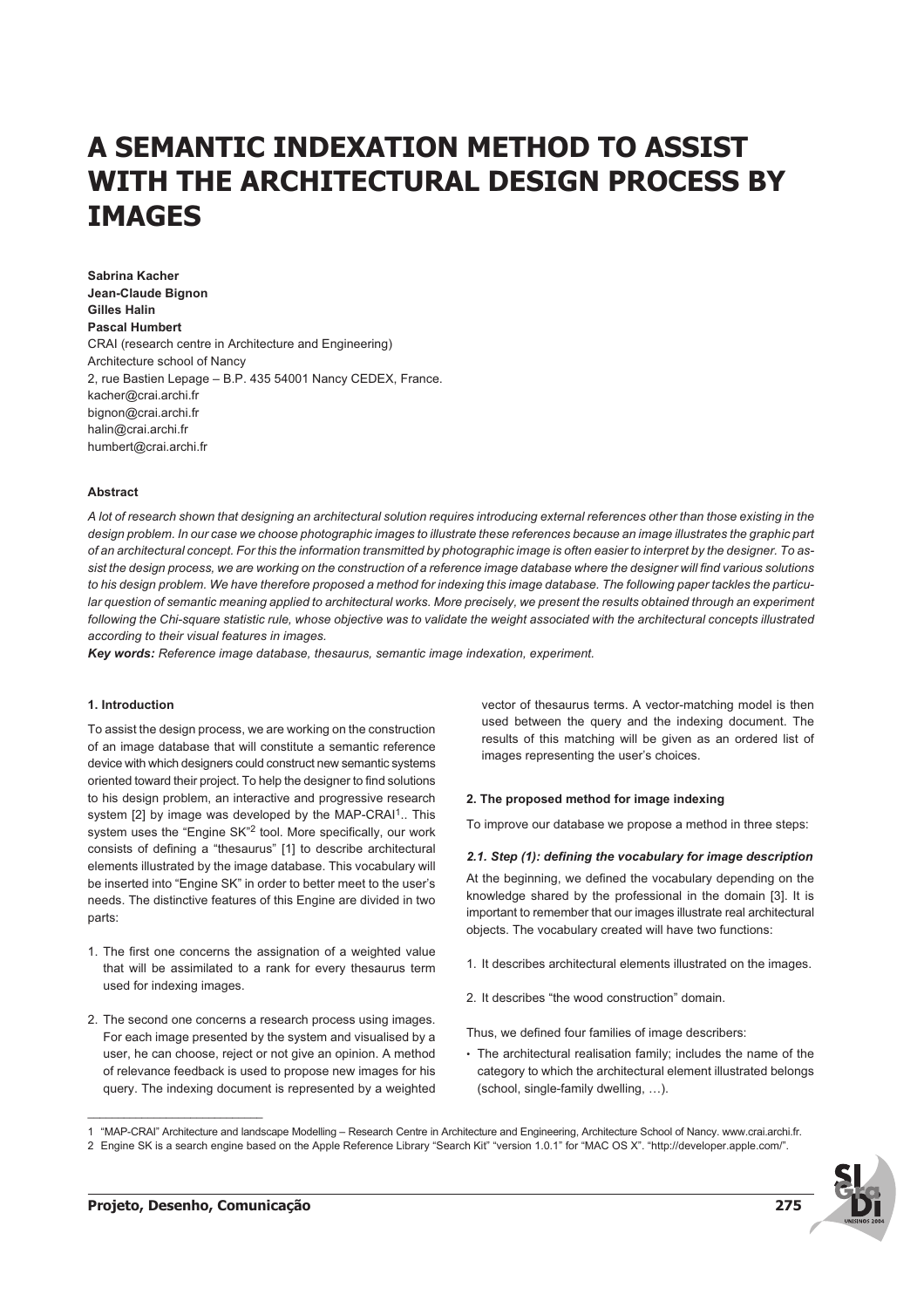# **A SEMANTIC INDEXATION METHOD TO ASSIST WITH THE ARCHITECTURAL DESIGN PROCESS BY IMAGES**

**Sabrina Kacher Jean-Claude Bignon Gilles Halin Pascal Humbert** CRAI (research centre in Architecture and Engineering) Architecture school of Nancy 2, rue Bastien Lepage – B.P. 435 54001 Nancy CEDEX, France. kacher@crai.archi.fr bignon@crai.archi.fr halin@crai.archi.fr humbert@crai.archi.fr

### **Abstract**

*A lot of research shown that designing an architectural solution requires introducing external references other than those existing in the design problem. In our case we choose photographic images to illustrate these references because an image illustrates the graphic part of an architectural concept. For this the information transmitted by photographic image is often easier to interpret by the designer. To assist the design process, we are working on the construction of a reference image database where the designer will find various solutions to his design problem. We have therefore proposed a method for indexing this image database. The following paper tackles the particular question of semantic meaning applied to architectural works. More precisely, we present the results obtained through an experiment following the Chi-square statistic rule, whose objective was to validate the weight associated with the architectural concepts illustrated according to their visual features in images.*

**Key words:** *Reference image database, thesaurus, semantic image indexation, experiment.*

#### **1. Introduction**

To assist the design process, we are working on the construction of an image database that will constitute a semantic reference device with which designers could construct new semantic systems oriented toward their project. To help the designer to find solutions to his design problem, an interactive and progressive research system [2] by image was developed by the MAP-CRAI<sup>1</sup>.. This system uses the "Engine SK"2 tool. More specifically, our work consists of defining a "thesaurus" [1] to describe architectural elements illustrated by the image database. This vocabulary will be inserted into "Engine SK" in order to better meet to the user's needs. The distinctive features of this Engine are divided in two parts:

- 1. The first one concerns the assignation of a weighted value that will be assimilated to a rank for every thesaurus term used for indexing images.
- 2. The second one concerns a research process using images. For each image presented by the system and visualised by a user, he can choose, reject or not give an opinion. A method of relevance feedback is used to propose new images for his query. The indexing document is represented by a weighted

vector of thesaurus terms. A vector-matching model is then used between the query and the indexing document. The results of this matching will be given as an ordered list of images representing the user's choices.

#### **2. The proposed method for image indexing**

To improve our database we propose a method in three steps:

#### **2.1. Step (1): defining the vocabulary for image description**

At the beginning, we defined the vocabulary depending on the knowledge shared by the professional in the domain [3]. It is important to remember that our images illustrate real architectural objects. The vocabulary created will have two functions:

- 1. It describes architectural elements illustrated on the images.
- 2. It describes "the wood construction" domain.

Thus, we defined four families of image describers:

• The architectural realisation family; includes the name of the category to which the architectural element illustrated belongs (school, single-family dwelling, …).

<sup>2</sup> Engine SK is a search engine based on the Apple Reference Library "Search Kit" "version 1.0.1" for "MAC OS X". "http://developer.apple.com/".



\_\_\_\_\_\_\_\_\_\_\_\_\_\_\_\_\_\_\_\_\_\_\_\_\_\_\_\_\_

<sup>1 &</sup>quot;MAP-CRAI" Architecture and landscape Modelling – Research Centre in Architecture and Engineering, Architecture School of Nancy. www.crai.archi.fr.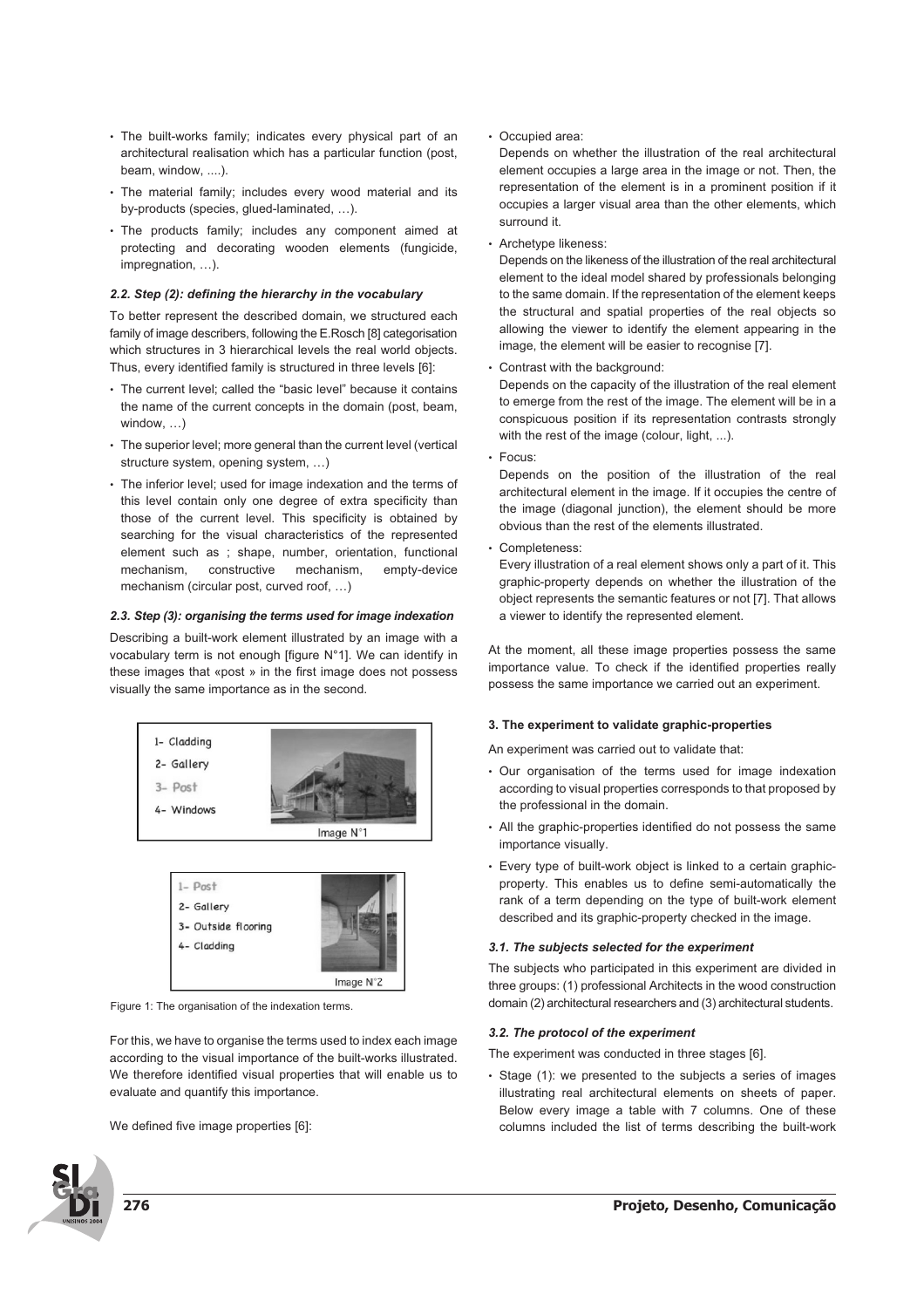- The built-works family; indicates every physical part of an architectural realisation which has a particular function (post, beam, window, ....).
- The material family; includes every wood material and its by-products (species, glued-laminated, …).
- The products family; includes any component aimed at protecting and decorating wooden elements (fungicide, impregnation, …).

## **2.2. Step (2): defining the hierarchy in the vocabulary**

To better represent the described domain, we structured each family of image describers, following the E.Rosch [8] categorisation which structures in 3 hierarchical levels the real world objects. Thus, every identified family is structured in three levels [6]:

- The current level; called the "basic level" because it contains the name of the current concepts in the domain (post, beam, window, …)
- The superior level; more general than the current level (vertical structure system, opening system, …)
- The inferior level; used for image indexation and the terms of this level contain only one degree of extra specificity than those of the current level. This specificity is obtained by searching for the visual characteristics of the represented element such as ; shape, number, orientation, functional mechanism, constructive mechanism, empty-device mechanism (circular post, curved roof, …)

## **2.3. Step (3): organising the terms used for image indexation**

Describing a built-work element illustrated by an image with a vocabulary term is not enough [figure N°1]. We can identify in these images that «post » in the first image does not possess visually the same importance as in the second.



Figure 1: The organisation of the indexation terms.

For this, we have to organise the terms used to index each image according to the visual importance of the built-works illustrated. We therefore identified visual properties that will enable us to evaluate and quantify this importance.

Image N°2

We defined five image properties [6]:

• Occupied area:

Depends on whether the illustration of the real architectural element occupies a large area in the image or not. Then, the representation of the element is in a prominent position if it occupies a larger visual area than the other elements, which surround it.

• Archetype likeness:

Depends on the likeness of the illustration of the real architectural element to the ideal model shared by professionals belonging to the same domain. If the representation of the element keeps the structural and spatial properties of the real objects so allowing the viewer to identify the element appearing in the image, the element will be easier to recognise [7].

• Contrast with the background:

Depends on the capacity of the illustration of the real element to emerge from the rest of the image. The element will be in a conspicuous position if its representation contrasts strongly with the rest of the image (colour, light, ...).

• Focus:

Depends on the position of the illustration of the real architectural element in the image. If it occupies the centre of the image (diagonal junction), the element should be more obvious than the rest of the elements illustrated.

• Completeness:

Every illustration of a real element shows only a part of it. This graphic-property depends on whether the illustration of the object represents the semantic features or not [7]. That allows a viewer to identify the represented element.

At the moment, all these image properties possess the same importance value. To check if the identified properties really possess the same importance we carried out an experiment.

# **3. The experiment to validate graphic-properties**

An experiment was carried out to validate that:

- Our organisation of the terms used for image indexation according to visual properties corresponds to that proposed by the professional in the domain.
- All the graphic-properties identified do not possess the same importance visually.
- Every type of built-work object is linked to a certain graphicproperty. This enables us to define semi-automatically the rank of a term depending on the type of built-work element described and its graphic-property checked in the image.

## **3.1. The subjects selected for the experiment**

The subjects who participated in this experiment are divided in three groups: (1) professional Architects in the wood construction domain (2) architectural researchers and (3) architectural students.

## **3.2. The protocol of the experiment**

The experiment was conducted in three stages [6].

• Stage (1): we presented to the subjects a series of images illustrating real architectural elements on sheets of paper. Below every image a table with 7 columns. One of these columns included the list of terms describing the built-work

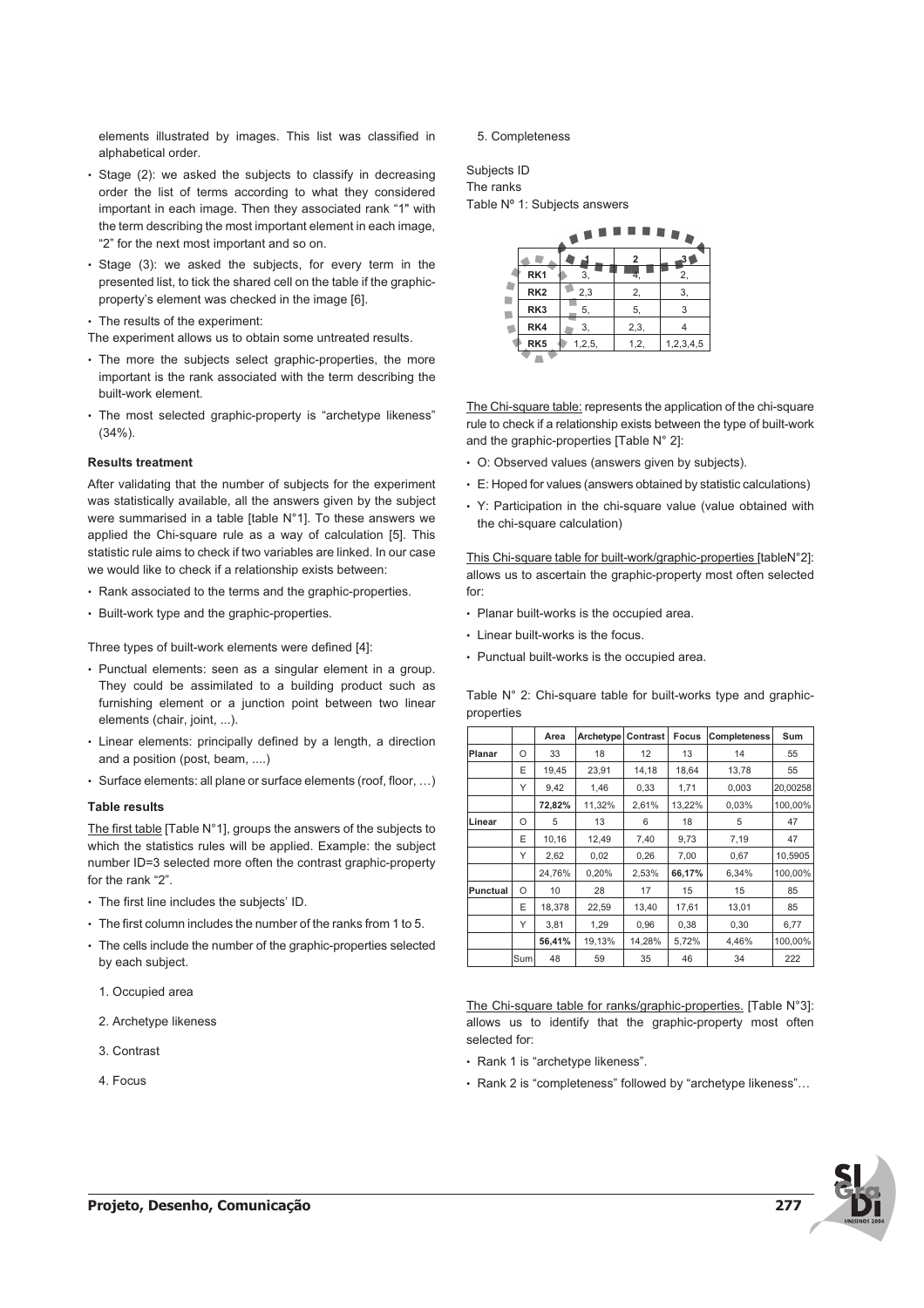elements illustrated by images. This list was classified in alphabetical order.

- Stage (2): we asked the subjects to classify in decreasing order the list of terms according to what they considered important in each image. Then they associated rank "1" with the term describing the most important element in each image, "2" for the next most important and so on.
- Stage (3): we asked the subjects, for every term in the presented list, to tick the shared cell on the table if the graphicproperty's element was checked in the image [6].
- The results of the experiment:

The experiment allows us to obtain some untreated results.

- The more the subjects select graphic-properties, the more important is the rank associated with the term describing the built-work element.
- The most selected graphic-property is "archetype likeness"  $(34\%)$

#### **Results treatment**

After validating that the number of subjects for the experiment was statistically available, all the answers given by the subject were summarised in a table [table N°1]. To these answers we applied the Chi-square rule as a way of calculation [5]. This statistic rule aims to check if two variables are linked. In our case we would like to check if a relationship exists between:

- Rank associated to the terms and the graphic-properties.
- Built-work type and the graphic-properties.

Three types of built-work elements were defined [4]:

- Punctual elements: seen as a singular element in a group. They could be assimilated to a building product such as furnishing element or a junction point between two linear elements (chair, joint, ...).
- Linear elements: principally defined by a length, a direction and a position (post, beam, ....)
- Surface elements: all plane or surface elements (roof, floor, …)

### **Table results**

The first table [Table N°1], groups the answers of the subjects to which the statistics rules will be applied. Example: the subject number ID=3 selected more often the contrast graphic-property for the rank "2".

- The first line includes the subjects' ID.
- The first column includes the number of the ranks from 1 to 5.
- The cells include the number of the graphic-properties selected by each subject.
	- 1. Occupied area
	- 2. Archetype likeness
	- 3. Contrast
	- 4. Focus

#### 5. Completeness

Subjects ID The ranks Table Nº 1: Subjects answers

|  | <b>.</b><br>.   |          |                |           |  |  |
|--|-----------------|----------|----------------|-----------|--|--|
|  |                 |          | $\overline{2}$ |           |  |  |
|  | RK <sub>1</sub> | 3,       | 4,             | 2,        |  |  |
|  | RK <sub>2</sub> | 2,3      | 2,             | 3,        |  |  |
|  | RK <sub>3</sub> | 5,       | 5,             | 3         |  |  |
|  | RK4             | 3,       | 2,3,           | 4         |  |  |
|  | RK <sub>5</sub> | 1, 2, 5, | 1, 2,          | 1,2,3,4,5 |  |  |
|  |                 |          |                |           |  |  |

The Chi-square table: represents the application of the chi-square rule to check if a relationship exists between the type of built-work and the graphic-properties [Table N° 2]:

- O: Observed values (answers given by subjects).
- E: Hoped for values (answers obtained by statistic calculations)
- Y: Participation in the chi-square value (value obtained with the chi-square calculation)

This Chi-square table for built-work/graphic-properties [tableN°2]: allows us to ascertain the graphic-property most often selected for:

- Planar built-works is the occupied area.
- Linear built-works is the focus.
- Punctual built-works is the occupied area.

Table N° 2: Chi-square table for built-works type and graphicproperties

|                 |     | Area   | Archetype | Contrast | Focus  | Completeness | Sum      |
|-----------------|-----|--------|-----------|----------|--------|--------------|----------|
| <b>Planar</b>   | O   | 33     | 18        | 12       | 13     | 14           | 55       |
|                 | Ε   | 19,45  | 23,91     | 14,18    | 18,64  | 13,78        | 55       |
|                 | Υ   | 9.42   | 1.46      | 0.33     | 1,71   | 0.003        | 20.00258 |
|                 |     | 72,82% | 11,32%    | 2,61%    | 13,22% | 0,03%        | 100,00%  |
| Linear          | O   | 5      | 13        | 6        | 18     | 5            | 47       |
|                 | E   | 10,16  | 12,49     | 7,40     | 9,73   | 7,19         | 47       |
|                 | Υ   | 2,62   | 0,02      | 0,26     | 7,00   | 0,67         | 10,5905  |
|                 |     | 24.76% | 0.20%     | 2.53%    | 66,17% | 6.34%        | 100,00%  |
| <b>Punctual</b> | O   | 10     | 28        | 17       | 15     | 15           | 85       |
|                 | E   | 18,378 | 22,59     | 13,40    | 17,61  | 13,01        | 85       |
|                 | Υ   | 3.81   | 1.29      | 0.96     | 0,38   | 0.30         | 6,77     |
|                 |     | 56.41% | 19,13%    | 14.28%   | 5.72%  | 4.46%        | 100.00%  |
|                 | Sum | 48     | 59        | 35       | 46     | 34           | 222      |

The Chi-square table for ranks/graphic-properties. [Table N°3]: allows us to identify that the graphic-property most often selected for:

- Rank 1 is "archetype likeness".
- Rank 2 is "completeness" followed by "archetype likeness"…